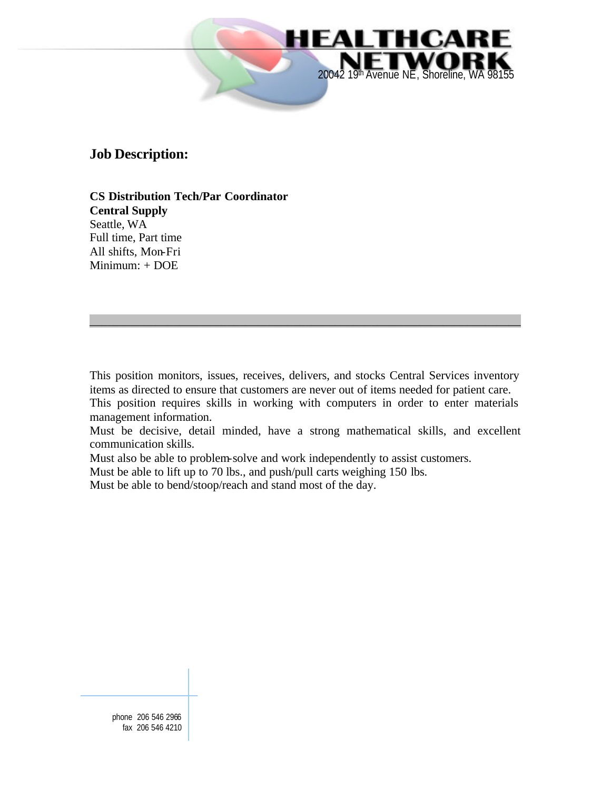

**CS Distribution Tech/Par Coordinator Central Supply** Seattle, WA Full time, Part time All shifts, Mon-Fri Minimum: + DOE

This position monitors, issues, receives, delivers, and stocks Central Services inventory items as directed to ensure that customers are never out of items needed for patient care. This position requires skills in working with computers in order to enter materials management information.

\_\_\_\_\_\_\_\_\_\_\_\_\_\_\_\_\_\_\_\_\_\_\_\_\_\_\_\_\_\_\_\_\_\_\_\_\_\_\_\_\_\_\_\_\_\_\_\_\_\_\_\_\_\_\_\_\_\_\_\_\_\_\_\_\_\_\_\_\_\_\_\_

Must be decisive, detail minded, have a strong mathematical skills, and excellent communication skills.

Must also be able to problem-solve and work independently to assist customers.

Must be able to lift up to 70 lbs., and push/pull carts weighing 150 lbs.

Must be able to bend/stoop/reach and stand most of the day.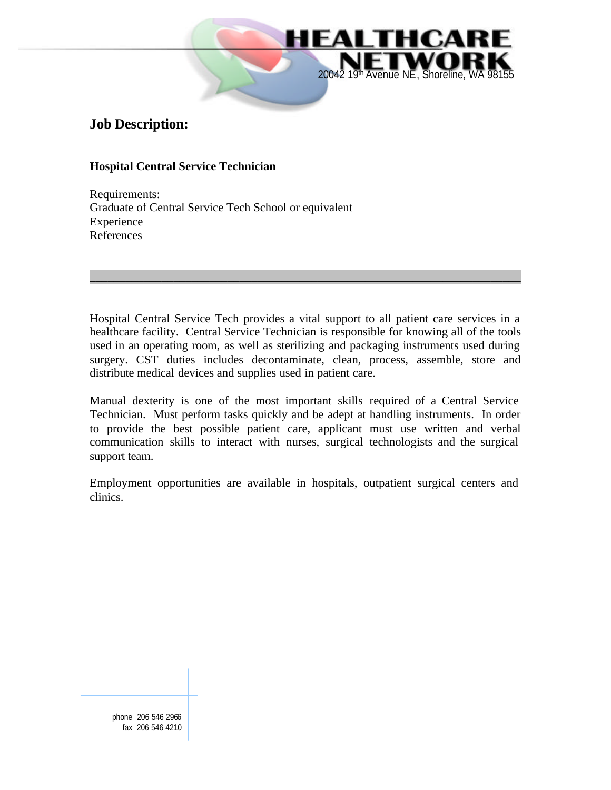### **Hospital Central Service Technician**

Requirements: Graduate of Central Service Tech School or equivalent Experience References

Hospital Central Service Tech provides a vital support to all patient care services in a healthcare facility. Central Service Technician is responsible for knowing all of the tools used in an operating room, as well as sterilizing and packaging instruments used during surgery. CST duties includes decontaminate, clean, process, assemble, store and distribute medical devices and supplies used in patient care.

\_\_\_\_\_\_\_\_\_\_\_\_\_\_\_\_\_\_\_\_\_\_\_\_\_\_\_\_\_\_\_\_\_\_\_\_\_\_\_\_\_\_\_\_\_\_\_\_\_\_\_\_\_\_\_\_\_\_\_\_\_\_\_\_\_\_\_\_\_\_\_\_

FAI

20042 19th Avenue NE, Shoreline, WA 98155

І ТНСА

Manual dexterity is one of the most important skills required of a Central Service Technician. Must perform tasks quickly and be adept at handling instruments. In order to provide the best possible patient care, applicant must use written and verbal communication skills to interact with nurses, surgical technologists and the surgical support team.

Employment opportunities are available in hospitals, outpatient surgical centers and clinics.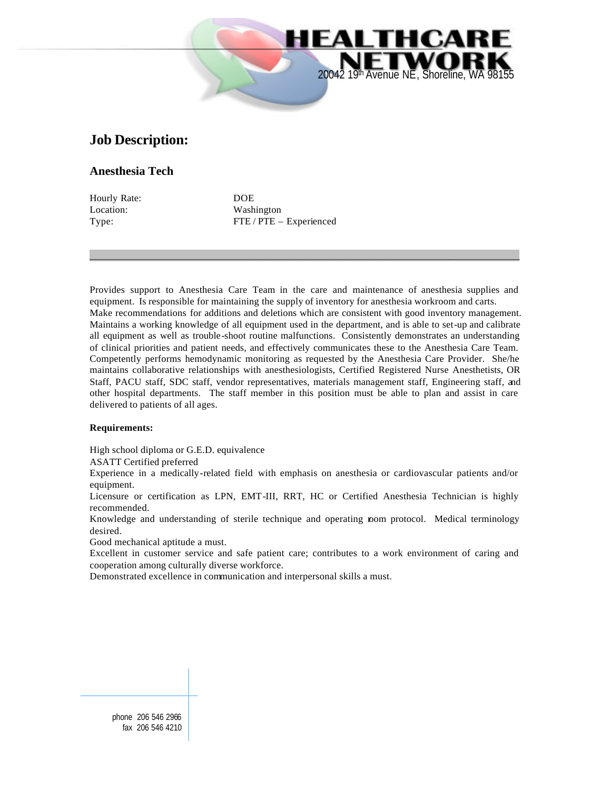### **Anesthesia Tech**

Hourly Rate: DOE

Location: Washington Type: FTE / PTE – Experienced

20042 19th Avenue NE, Shoreline, WA 98155

LTHCA

Provides support to Anesthesia Care Team in the care and maintenance of anesthesia supplies and equipment. Is responsible for maintaining the supply of inventory for anesthesia workroom and carts. Make recommendations for additions and deletions which are consistent with good inventory management. Maintains a working knowledge of all equipment used in the department, and is able to set-up and calibrate all equipment as well as trouble-shoot routine malfunctions. Consistently demonstrates an understanding of clinical priorities and patient needs, and effectively communicates these to the Anesthesia Care Team. Competently performs hemodynamic monitoring as requested by the Anesthesia Care Provider. She/he maintains collaborative relationships with anesthesiologists, Certified Registered Nurse Anesthetists, OR Staff, PACU staff, SDC staff, vendor representatives, materials management staff, Engineering staff, and other hospital departments. The staff member in this position must be able to plan and assist in care delivered to patients of all ages.

\_\_\_\_\_\_\_\_\_\_\_\_\_\_\_\_\_\_\_\_\_\_\_\_\_\_\_\_\_\_\_\_\_\_\_\_\_\_\_\_\_\_\_\_\_\_\_\_\_\_\_\_\_\_\_\_\_\_\_\_\_\_\_\_\_\_\_\_\_\_\_\_\_\_\_\_\_\_\_\_\_\_\_\_\_\_

FAI

#### **Requirements:**

High school diploma or G.E.D. equivalence

ASATT Certified preferred

Experience in a medically-related field with emphasis on anesthesia or cardiovascular patients and/or equipment.

Licensure or certification as LPN, EMT-III, RRT, HC or Certified Anesthesia Technician is highly recommended.

Knowledge and understanding of sterile technique and operating room protocol. Medical terminology desired.

Good mechanical aptitude a must.

Excellent in customer service and safe patient care; contributes to a work environment of caring and cooperation among culturally diverse workforce.

Demonstrated excellence in communication and interpersonal skills a must.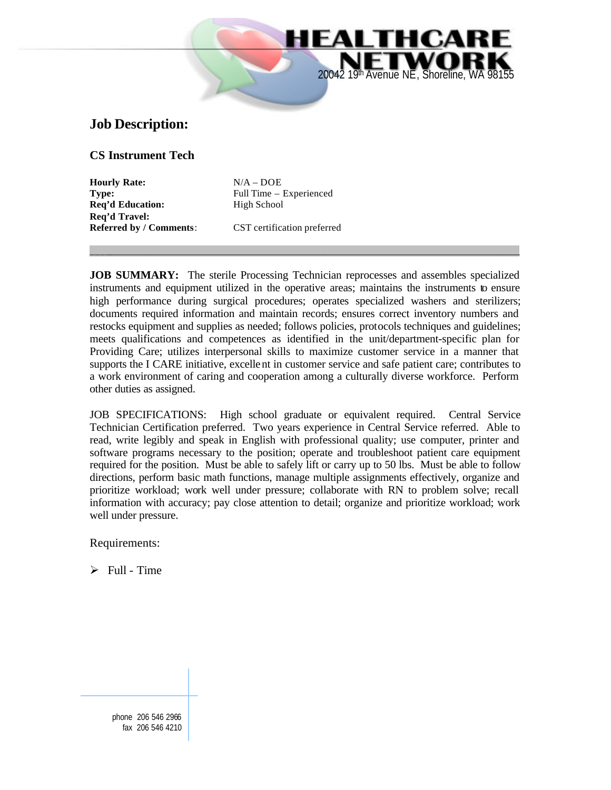**CS Instrument Tech**

**Hourly Rate:** N/A – DOE **Type:** Full Time – Experienced **Req'd Education:** High School **Req'd Travel: Referred by / Comments**: CST certification preferred

 $20042$  19<sup>th</sup> Avenue, NF.

HCA

FΔI

**JOB SUMMARY:** The sterile Processing Technician reprocesses and assembles specialized instruments and equipment utilized in the operative areas; maintains the instruments to ensure high performance during surgical procedures; operates specialized washers and sterilizers; documents required information and maintain records; ensures correct inventory numbers and restocks equipment and supplies as needed; follows policies, protocols techniques and guidelines; meets qualifications and competences as identified in the unit/department-specific plan for Providing Care; utilizes interpersonal skills to maximize customer service in a manner that supports the I CARE initiative, excellent in customer service and safe patient care; contributes to a work environment of caring and cooperation among a culturally diverse workforce. Perform other duties as assigned.

\_\_\_\_\_\_\_\_\_\_\_\_\_\_\_\_\_\_\_\_\_\_\_\_\_\_\_\_\_\_\_\_\_\_\_\_\_\_\_\_\_\_\_\_\_\_\_\_\_\_\_\_\_\_\_\_\_\_\_\_\_\_\_\_\_\_\_\_\_\_\_\_\_\_\_\_\_\_\_\_\_\_\_\_\_\_

JOB SPECIFICATIONS: High school graduate or equivalent required. Central Service Technician Certification preferred. Two years experience in Central Service referred. Able to read, write legibly and speak in English with professional quality; use computer, printer and software programs necessary to the position; operate and troubleshoot patient care equipment required for the position. Must be able to safely lift or carry up to 50 lbs. Must be able to follow directions, perform basic math functions, manage multiple assignments effectively, organize and prioritize workload; work well under pressure; collaborate with RN to problem solve; recall information with accuracy; pay close attention to detail; organize and prioritize workload; work well under pressure.

Requirements:

 $\triangleright$  Full - Time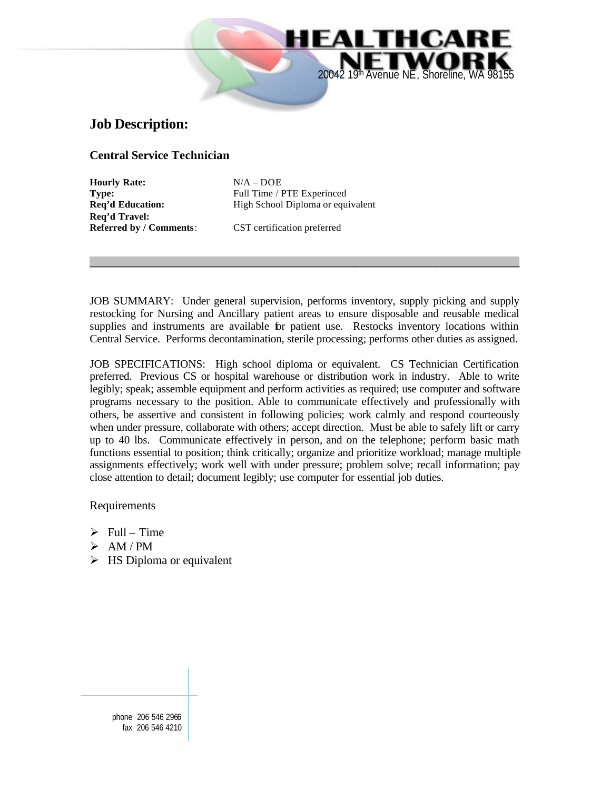**Central Service Technician**

**Hourly Rate:** N/A – DOE **Req'd Travel:**

**Type:** Full Time / PTE Experinced **Req'd Education:** High School Diploma or equivalent

FАI

20042 19th Avenue NE, Shoreline, WA 98155

LTHCA

**Referred by / Comments**: CST certification preferred

JOB SUMMARY: Under general supervision, performs inventory, supply picking and supply restocking for Nursing and Ancillary patient areas to ensure disposable and reusable medical supplies and instruments are available for patient use. Restocks inventory locations within Central Service. Performs decontamination, sterile processing; performs other duties as assigned.

\_\_\_\_\_\_\_\_\_\_\_\_\_\_\_\_\_\_\_\_\_\_\_\_\_\_\_\_\_\_\_\_\_\_\_\_\_\_\_\_\_\_\_\_\_\_\_\_\_\_\_\_\_\_\_\_\_\_\_\_\_\_\_\_\_\_\_\_\_\_\_\_\_\_\_\_\_\_\_\_\_\_\_\_\_\_

JOB SPECIFICATIONS: High school diploma or equivalent. CS Technician Certification preferred. Previous CS or hospital warehouse or distribution work in industry. Able to write legibly; speak; assemble equipment and perform activities as required; use computer and software programs necessary to the position. Able to communicate effectively and professionally with others, be assertive and consistent in following policies; work calmly and respond courteously when under pressure, collaborate with others; accept direction. Must be able to safely lift or carry up to 40 lbs. Communicate effectively in person, and on the telephone; perform basic math functions essential to position; think critically; organize and prioritize workload; manage multiple assignments effectively; work well with under pressure; problem solve; recall information; pay close attention to detail; document legibly; use computer for essential job duties.

Requirements

- $\triangleright$  Full Time
- $\triangleright$  AM / PM
- $\triangleright$  HS Diploma or equivalent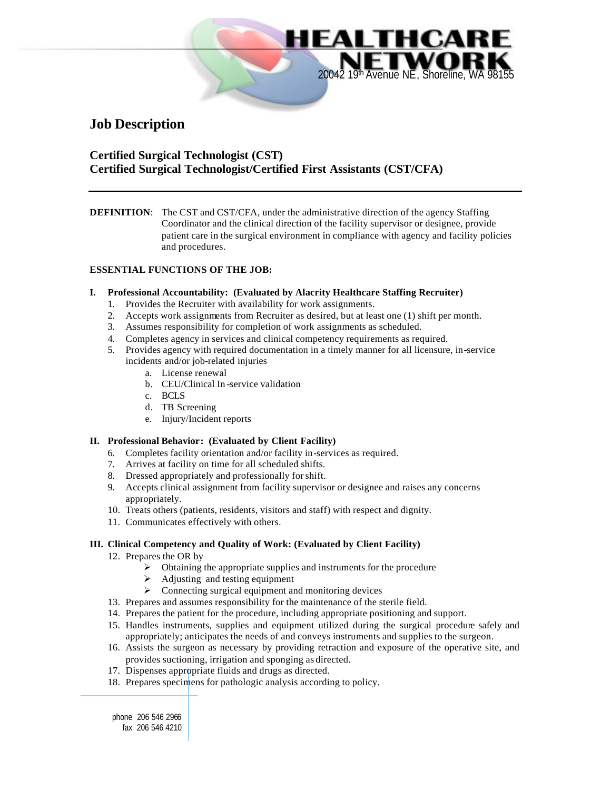**Certified Surgical Technologist (CST) Certified Surgical Technologist/Certified First Assistants (CST/CFA)**

**DEFINITION:** The CST and CST/CFA, under the administrative direction of the agency Staffing Coordinator and the clinical direction of the facility supervisor or designee, provide patient care in the surgical environment in compliance with agency and facility policies and procedures.

20042 19th

EALTHCAI

#### **ESSENTIAL FUNCTIONS OF THE JOB:**

#### **I. Professional Accountability: (Evaluated by Alacrity Healthcare Staffing Recruiter)**

- 1. Provides the Recruiter with availability for work assignments.
- 2. Accepts work assignments from Recruiter as desired, but at least one (1) shift per month.
- 3. Assumes responsibility for completion of work assignments as scheduled.
- 4. Completes agency in services and clinical competency requirements as required.
- 5. Provides agency with required documentation in a timely manner for all licensure, in-service incidents and/or job-related injuries
	- a. License renewal
	- b. CEU/Clinical In -service validation
	- c. BCLS
	- d. TB Screening
	- e. Injury/Incident reports

#### **II. Professional Behavior: (Evaluated by Client Facility)**

- 6. Completes facility orientation and/or facility in-services as required.
- 7. Arrives at facility on time for all scheduled shifts.
- 8. Dressed appropriately and professionally forshift.
- 9. Accepts clinical assignment from facility supervisor or designee and raises any concerns appropriately.
- 10. Treats others (patients, residents, visitors and staff) with respect and dignity.
- 11. Communicates effectively with others.

#### **III. Clinical Competency and Quality of Work: (Evaluated by Client Facility)**

- 12. Prepares the OR by
	- $\triangleright$  Obtaining the appropriate supplies and instruments for the procedure
	- $\triangleright$  Adjusting and testing equipment
	- $\triangleright$  Connecting surgical equipment and monitoring devices
- 13. Prepares and assumes responsibility for the maintenance of the sterile field.
- 14. Prepares the patient for the procedure, including appropriate positioning and support.
- 15. Handles instruments, supplies and equipment utilized during the surgical procedure safely and appropriately; anticipates the needs of and conveys instruments and supplies to the surgeon.
- 16. Assists the surgeon as necessary by providing retraction and exposure of the operative site, and provides suctioning, irrigation and sponging as directed.
- 17. Dispenses appropriate fluids and drugs as directed.
- 18. Prepares specimens for pathologic analysis according to policy.